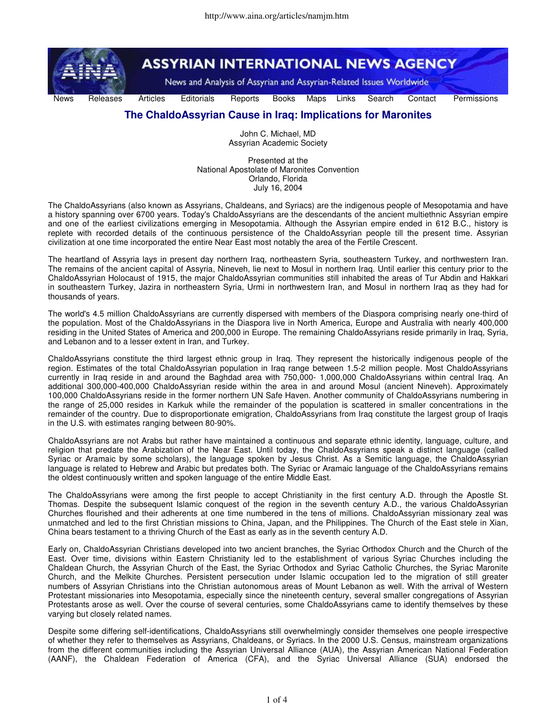

## **The ChaldoAssyrian Cause in Iraq: Implications for Maronites**

John C. Michael, MD Assyrian Academic Society

Presented at the National Apostolate of Maronites Convention Orlando, Florida July 16, 2004

The ChaldoAssyrians (also known as Assyrians, Chaldeans, and Syriacs) are the indigenous people of Mesopotamia and have a history spanning over 6700 years. Today's ChaldoAssyrians are the descendants of the ancient multiethnic Assyrian empire and one of the earliest civilizations emerging in Mesopotamia. Although the Assyrian empire ended in 612 B.C., history is replete with recorded details of the continuous persistence of the ChaldoAssyrian people till the present time. Assyrian civilization at one time incorporated the entire Near East most notably the area of the Fertile Crescent.

The heartland of Assyria lays in present day northern Iraq, northeastern Syria, southeastern Turkey, and northwestern Iran. The remains of the ancient capital of Assyria, Nineveh, lie next to Mosul in northern Iraq. Until earlier this century prior to the ChaldoAssyrian Holocaust of 1915, the major ChaldoAssyrian communities still inhabited the areas of Tur Abdin and Hakkari in southeastern Turkey, Jazira in northeastern Syria, Urmi in northwestern Iran, and Mosul in northern Iraq as they had for thousands of years.

The world's 4.5 million ChaldoAssyrians are currently dispersed with members of the Diaspora comprising nearly one-third of the population. Most of the ChaldoAssyrians in the Diaspora live in North America, Europe and Australia with nearly 400,000 residing in the United States of America and 200,000 in Europe. The remaining ChaldoAssyrians reside primarily in Iraq, Syria, and Lebanon and to a lesser extent in Iran, and Turkey.

ChaldoAssyrians constitute the third largest ethnic group in Iraq. They represent the historically indigenous people of the region. Estimates of the total ChaldoAssyrian population in Iraq range between 1.5-2 million people. Most ChaldoAssyrians currently in Iraq reside in and around the Baghdad area with 750,000- 1,000,000 ChaldoAssyrians within central Iraq. An additional 300,000-400,000 ChaldoAssyrian reside within the area in and around Mosul (ancient Nineveh). Approximately 100,000 ChaldoAssyrians reside in the former northern UN Safe Haven. Another community of ChaldoAssyrians numbering in the range of 25,000 resides in Karkuk while the remainder of the population is scattered in smaller concentrations in the remainder of the country. Due to disproportionate emigration, ChaldoAssyrians from Iraq constitute the largest group of Iraqis in the U.S. with estimates ranging between 80-90%.

ChaldoAssyrians are not Arabs but rather have maintained a continuous and separate ethnic identity, language, culture, and religion that predate the Arabization of the Near East. Until today, the ChaldoAssyrians speak a distinct language (called Syriac or Aramaic by some scholars), the language spoken by Jesus Christ. As a Semitic language, the ChaldoAssyrian language is related to Hebrew and Arabic but predates both. The Syriac or Aramaic language of the ChaldoAssyrians remains the oldest continuously written and spoken language of the entire Middle East.

The ChaldoAssyrians were among the first people to accept Christianity in the first century A.D. through the Apostle St. Thomas. Despite the subsequent Islamic conquest of the region in the seventh century A.D., the various ChaldoAssyrian Churches flourished and their adherents at one time numbered in the tens of millions. ChaldoAssyrian missionary zeal was unmatched and led to the first Christian missions to China, Japan, and the Philippines. The Church of the East stele in Xian, China bears testament to a thriving Church of the East as early as in the seventh century A.D.

Early on, ChaldoAssyrian Christians developed into two ancient branches, the Syriac Orthodox Church and the Church of the East. Over time, divisions within Eastern Christianity led to the establishment of various Syriac Churches including the Chaldean Church, the Assyrian Church of the East, the Syriac Orthodox and Syriac Catholic Churches, the Syriac Maronite Church, and the Melkite Churches. Persistent persecution under Islamic occupation led to the migration of still greater numbers of Assyrian Christians into the Christian autonomous areas of Mount Lebanon as well. With the arrival of Western Protestant missionaries into Mesopotamia, especially since the nineteenth century, several smaller congregations of Assyrian Protestants arose as well. Over the course of several centuries, some ChaldoAssyrians came to identify themselves by these varying but closely related names.

Despite some differing self-identifications, ChaldoAssyrians still overwhelmingly consider themselves one people irrespective of whether they refer to themselves as Assyrians, Chaldeans, or Syriacs. In the 2000 U.S. Census, mainstream organizations from the different communities including the Assyrian Universal Alliance (AUA), the Assyrian American National Federation (AANF), the Chaldean Federation of America (CFA), and the Syriac Universal Alliance (SUA) endorsed the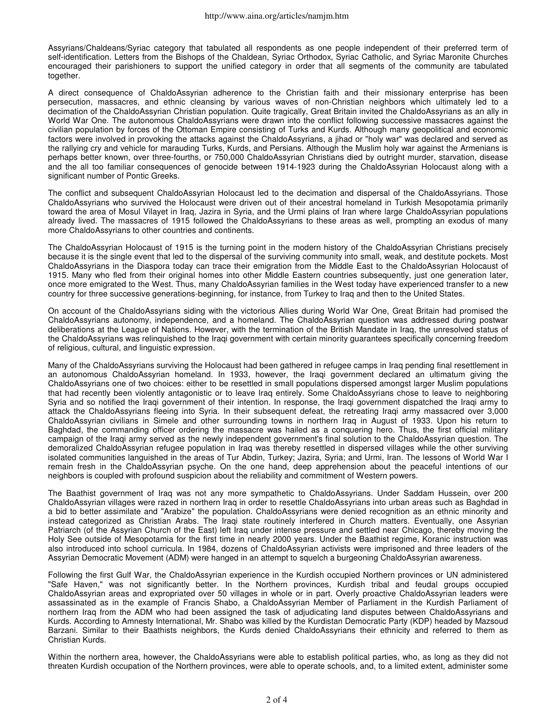Assyrians/Chaldeans/Syriac category that tabulated all respondents as one people independent of their preferred term of self-identification. Letters from the Bishops of the Chaldean, Syriac Orthodox, Syriac Catholic, and Syriac Maronite Churches encouraged their parishioners to support the unified category in order that all segments of the community are tabulated together.

A direct consequence of ChaldoAssyrian adherence to the Christian faith and their missionary enterprise has been persecution, massacres, and ethnic cleansing by various waves of non-Christian neighbors which ultimately led to a decimation of the ChaldoAssyrian Christian population. Quite tragically, Great Britain invited the ChaldoAssyrians as an ally in World War One. The autonomous ChaldoAssyrians were drawn into the conflict following successive massacres against the civilian population by forces of the Ottoman Empire consisting of Turks and Kurds. Although many geopolitical and economic factors were involved in provoking the attacks against the ChaldoAssyrians, a jihad or "holy war" was declared and served as the rallying cry and vehicle for marauding Turks, Kurds, and Persians. Although the Muslim holy war against the Armenians is perhaps better known, over three-fourths, or 750,000 ChaldoAssyrian Christians died by outright murder, starvation, disease and the all too familiar consequences of genocide between 1914-1923 during the ChaldoAssyrian Holocaust along with a significant number of Pontic Greeks.

The conflict and subsequent ChaldoAssyrian Holocaust led to the decimation and dispersal of the ChaldoAssyrians. Those ChaldoAssyrians who survived the Holocaust were driven out of their ancestral homeland in Turkish Mesopotamia primarily toward the area of Mosul Vilayet in Iraq, Jazira in Syria, and the Urmi plains of Iran where large ChaldoAssyrian populations already lived. The massacres of 1915 followed the ChaldoAssyrians to these areas as well, prompting an exodus of many more ChaldoAssyrians to other countries and continents.

The ChaldoAssyrian Holocaust of 1915 is the turning point in the modern history of the ChaldoAssyrian Christians precisely because it is the single event that led to the dispersal of the surviving community into small, weak, and destitute pockets. Most ChaldoAssyrians in the Diaspora today can trace their emigration from the Middle East to the ChaldoAssyrian Holocaust of 1915. Many who fled from their original homes into other Middle Eastern countries subsequently, just one generation later, once more emigrated to the West. Thus, many ChaldoAssyrian families in the West today have experienced transfer to a new country for three successive generations-beginning, for instance, from Turkey to Iraq and then to the United States.

On account of the ChaldoAssyrians siding with the victorious Allies during World War One, Great Britain had promised the ChaldoAssyrians autonomy, independence, and a homeland. The ChaldoAssyrian question was addressed during postwar deliberations at the League of Nations. However, with the termination of the British Mandate in Iraq, the unresolved status of the ChaldoAssyrians was relinquished to the Iraqi government with certain minority guarantees specifically concerning freedom of religious, cultural, and linguistic expression.

Many of the ChaldoAssyrians surviving the Holocaust had been gathered in refugee camps in Iraq pending final resettlement in an autonomous ChaldoAssyrian homeland. In 1933, however, the Iraqi government declared an ultimatum giving the ChaldoAssyrians one of two choices: either to be resettled in small populations dispersed amongst larger Muslim populations that had recently been violently antagonistic or to leave Iraq entirely. Some ChaldoAssyrians chose to leave to neighboring Syria and so notified the Iraqi government of their intention. In response, the Iraqi government dispatched the Iraqi army to attack the ChaldoAssyrians fleeing into Syria. In their subsequent defeat, the retreating Iraqi army massacred over 3,000 ChaldoAssyrian civilians in Simele and other surrounding towns in northern Iraq in August of 1933. Upon his return to Baghdad, the commanding officer ordering the massacre was hailed as a conquering hero. Thus, the first official military campaign of the Iraqi army served as the newly independent government's final solution to the ChaldoAssyrian question. The demoralized ChaldoAssyrian refugee population in Iraq was thereby resettled in dispersed villages while the other surviving isolated communities languished in the areas of Tur Abdin, Turkey; Jazira, Syria; and Urmi, Iran. The lessons of World War I remain fresh in the ChaldoAssyrian psyche. On the one hand, deep apprehension about the peaceful intentions of our neighbors is coupled with profound suspicion about the reliability and commitment of Western powers.

The Baathist government of Iraq was not any more sympathetic to ChaldoAssyrians. Under Saddam Hussein, over 200 ChaldoAssyrian villages were razed in northern Iraq in order to resettle ChaldoAssyrians into urban areas such as Baghdad in a bid to better assimilate and "Arabize" the population. ChaldoAssyrians were denied recognition as an ethnic minority and instead categorized as Christian Arabs. The Iraqi state routinely interfered in Church matters. Eventually, one Assyrian Patriarch (of the Assyrian Church of the East) left Iraq under intense pressure and settled near Chicago, thereby moving the Holy See outside of Mesopotamia for the first time in nearly 2000 years. Under the Baathist regime, Koranic instruction was also introduced into school curricula. In 1984, dozens of ChaldoAssyrian activists were imprisoned and three leaders of the Assyrian Democratic Movement (ADM) were hanged in an attempt to squelch a burgeoning ChaldoAssyrian awareness.

Following the first Gulf War, the ChaldoAssyrian experience in the Kurdish occupied Northern provinces or UN administered "Safe Haven," was not significantly better. In the Northern provinces, Kurdish tribal and feudal groups occupied ChaldoAssyrian areas and expropriated over 50 villages in whole or in part. Overly proactive ChaldoAssyrian leaders were assassinated as in the example of Francis Shabo, a ChaldoAssyrian Member of Parliament in the Kurdish Parliament of northern Iraq from the ADM who had been assigned the task of adjudicating land disputes between ChaldoAssyrians and Kurds. According to Amnesty International, Mr. Shabo was killed by the Kurdistan Democratic Party (KDP) headed by Mazsoud Barzani. Similar to their Baathists neighbors, the Kurds denied ChaldoAssyrians their ethnicity and referred to them as Christian Kurds.

Within the northern area, however, the ChaldoAssyrians were able to establish political parties, who, as long as they did not threaten Kurdish occupation of the Northern provinces, were able to operate schools, and, to a limited extent, administer some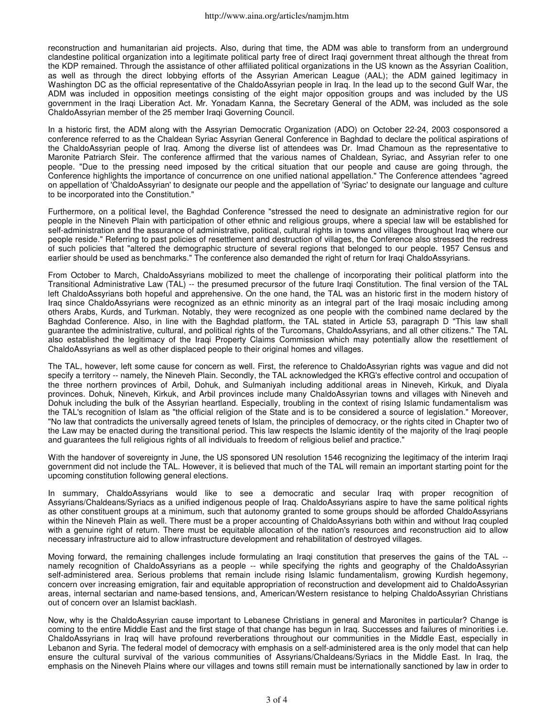reconstruction and humanitarian aid projects. Also, during that time, the ADM was able to transform from an underground clandestine political organization into a legitimate political party free of direct Iraqi government threat although the threat from the KDP remained. Through the assistance of other affiliated political organizations in the US known as the Assyrian Coalition, as well as through the direct lobbying efforts of the Assyrian American League (AAL); the ADM gained legitimacy in Washington DC as the official representative of the ChaldoAssyrian people in Iraq. In the lead up to the second Gulf War, the ADM was included in opposition meetings consisting of the eight major opposition groups and was included by the US government in the Iraqi Liberation Act. Mr. Yonadam Kanna, the Secretary General of the ADM, was included as the sole ChaldoAssyrian member of the 25 member Iraqi Governing Council.

In a historic first, the ADM along with the Assyrian Democratic Organization (ADO) on October 22-24, 2003 cosponsored a conference referred to as the Chaldean Syriac Assyrian General Conference in Baghdad to declare the political aspirations of the ChaldoAssyrian people of Iraq. Among the diverse list of attendees was Dr. Imad Chamoun as the representative to Maronite Patriarch Sfeir. The conference affirmed that the various names of Chaldean, Syriac, and Assyrian refer to one people. "Due to the pressing need imposed by the critical situation that our people and cause are going through, the Conference highlights the importance of concurrence on one unified national appellation." The Conference attendees "agreed on appellation of 'ChaldoAssyrian' to designate our people and the appellation of 'Syriac' to designate our language and culture to be incorporated into the Constitution."

Furthermore, on a political level, the Baghdad Conference "stressed the need to designate an administrative region for our people in the Nineveh Plain with participation of other ethnic and religious groups, where a special law will be established for self-administration and the assurance of administrative, political, cultural rights in towns and villages throughout Iraq where our people reside." Referring to past policies of resettlement and destruction of villages, the Conference also stressed the redress of such policies that "altered the demographic structure of several regions that belonged to our people. 1957 Census and earlier should be used as benchmarks." The conference also demanded the right of return for Iraqi ChaldoAssyrians.

From October to March, ChaldoAssyrians mobilized to meet the challenge of incorporating their political platform into the Transitional Administrative Law (TAL) -- the presumed precursor of the future Iraqi Constitution. The final version of the TAL left ChaldoAssyrians both hopeful and apprehensive. On the one hand, the TAL was an historic first in the modern history of Iraq since ChaldoAssyrians were recognized as an ethnic minority as an integral part of the Iraqi mosaic including among others Arabs, Kurds, and Turkman. Notably, they were recognized as one people with the combined name declared by the Baghdad Conference. Also, in line with the Baghdad platform, the TAL stated in Article 53, paragraph D "This law shall guarantee the administrative, cultural, and political rights of the Turcomans, ChaldoAssyrians, and all other citizens." The TAL also established the legitimacy of the Iraqi Property Claims Commission which may potentially allow the resettlement of ChaldoAssyrians as well as other displaced people to their original homes and villages.

The TAL, however, left some cause for concern as well. First, the reference to ChaldoAssyrian rights was vague and did not specify a territory -- namely, the Nineveh Plain. Secondly, the TAL acknowledged the KRG's effective control and occupation of the three northern provinces of Arbil, Dohuk, and Sulmaniyah including additional areas in Nineveh, Kirkuk, and Diyala provinces. Dohuk, Nineveh, Kirkuk, and Arbil provinces include many ChaldoAssyrian towns and villages with Nineveh and Dohuk including the bulk of the Assyrian heartland. Especially, troubling in the context of rising Islamic fundamentalism was the TAL's recognition of Islam as "the official religion of the State and is to be considered a source of legislation." Moreover, "No law that contradicts the universally agreed tenets of Islam, the principles of democracy, or the rights cited in Chapter two of the Law may be enacted during the transitional period. This law respects the Islamic identity of the majority of the Iraqi people and guarantees the full religious rights of all individuals to freedom of religious belief and practice."

With the handover of sovereignty in June, the US sponsored UN resolution 1546 recognizing the legitimacy of the interim Iraqi government did not include the TAL. However, it is believed that much of the TAL will remain an important starting point for the upcoming constitution following general elections.

In summary, ChaldoAssyrians would like to see a democratic and secular Iraq with proper recognition of Assyrians/Chaldeans/Syriacs as a unified indigenous people of Iraq. ChaldoAssyrians aspire to have the same political rights as other constituent groups at a minimum, such that autonomy granted to some groups should be afforded ChaldoAssyrians within the Nineveh Plain as well. There must be a proper accounting of ChaldoAssyrians both within and without Iraq coupled with a genuine right of return. There must be equitable allocation of the nation's resources and reconstruction aid to allow necessary infrastructure aid to allow infrastructure development and rehabilitation of destroyed villages.

Moving forward, the remaining challenges include formulating an Iraqi constitution that preserves the gains of the TAL - namely recognition of ChaldoAssyrians as a people -- while specifying the rights and geography of the ChaldoAssyrian self-administered area. Serious problems that remain include rising Islamic fundamentalism, growing Kurdish hegemony, concern over increasing emigration, fair and equitable appropriation of reconstruction and development aid to ChaldoAssyrian areas, internal sectarian and name-based tensions, and, American/Western resistance to helping ChaldoAssyrian Christians out of concern over an Islamist backlash.

Now, why is the ChaldoAssyrian cause important to Lebanese Christians in general and Maronites in particular? Change is coming to the entire Middle East and the first stage of that change has begun in Iraq. Successes and failures of minorities i.e. ChaldoAssyrians in Iraq will have profound reverberations throughout our communities in the Middle East, especially in Lebanon and Syria. The federal model of democracy with emphasis on a self-administered area is the only model that can help ensure the cultural survival of the various communities of Assyrians/Chaldeans/Syriacs in the Middle East. In Iraq, the emphasis on the Nineveh Plains where our villages and towns still remain must be internationally sanctioned by law in order to